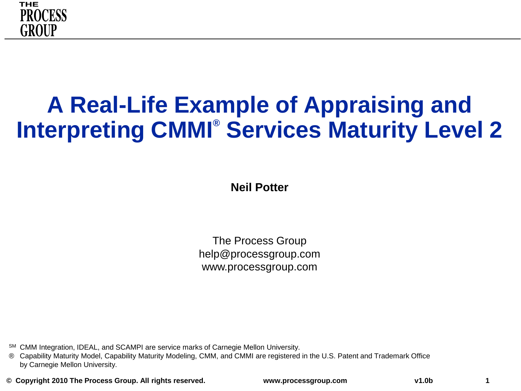

### **A Real-Life Example of Appraising and Interpreting CMMI® Services Maturity Level 2**

**Neil Potter**

The Process Group help@processgroup.com www.processgroup.com

SM CMM Integration, IDEAL, and SCAMPI are service marks of Carnegie Mellon University.

® Capability Maturity Model, Capability Maturity Modeling, CMM, and CMMI are registered in the U.S. Patent and Trademark Office by Carnegie Mellon University.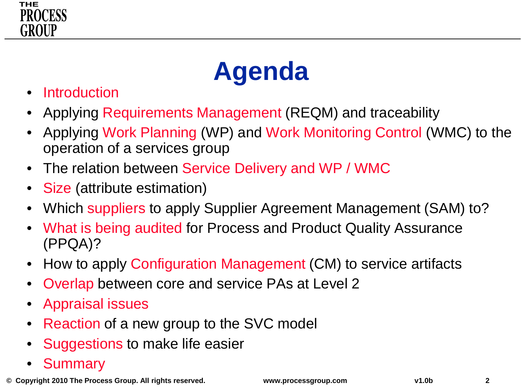



- **Introduction**
- Applying Requirements Management (REQM) and traceability
- Applying Work Planning (WP) and Work Monitoring Control (WMC) to the operation of a services group
- The relation between Service Delivery and WP / WMC
- Size (attribute estimation)
- Which suppliers to apply Supplier Agreement Management (SAM) to?
- What is being audited for Process and Product Quality Assurance (PPQA)?
- How to apply Configuration Management (CM) to service artifacts
- Overlap between core and service PAs at Level 2
- Appraisal issues
- Reaction of a new group to the SVC model
- Suggestions to make life easier
- **Summary**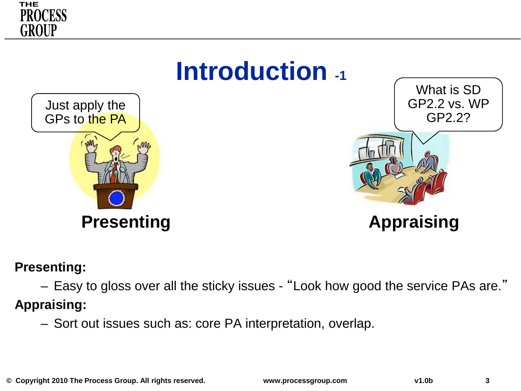



#### **Presenting:**

– Easy to gloss over all the sticky issues - "Look how good the service PAs are."

**Appraising:**

– Sort out issues such as: core PA interpretation, overlap.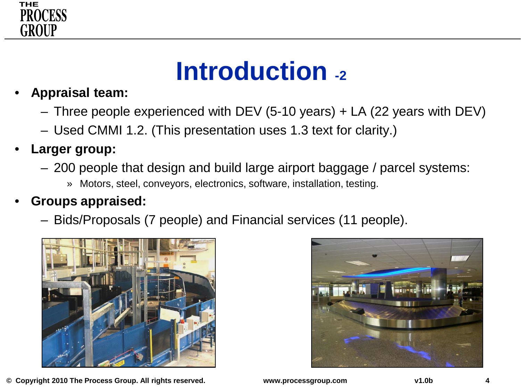

### **Introduction -2**

- **Appraisal team:** 
	- Three people experienced with DEV (5-10 years) + LA (22 years with DEV)
	- Used CMMI 1.2. (This presentation uses 1.3 text for clarity.)
- **Larger group:**
	- 200 people that design and build large airport baggage / parcel systems:
		- » Motors, steel, conveyors, electronics, software, installation, testing.

#### • **Groups appraised:**

– Bids/Proposals (7 people) and Financial services (11 people).



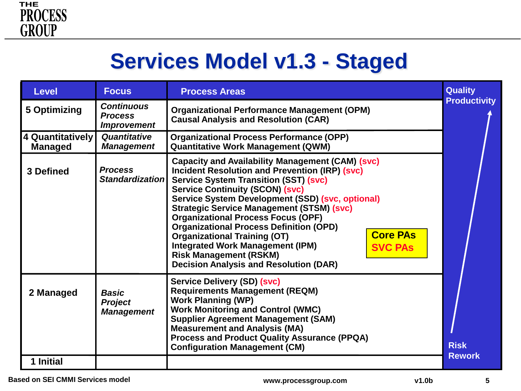

### **Services Model v1.3 - Staged**

| <b>Level</b>                       | <b>Focus</b>                                                     | <b>Process Areas</b>                                                                                                                                                                                                                                                                                                                                                                                                                                                                                                                                                                                                       | <b>Quality</b>      |
|------------------------------------|------------------------------------------------------------------|----------------------------------------------------------------------------------------------------------------------------------------------------------------------------------------------------------------------------------------------------------------------------------------------------------------------------------------------------------------------------------------------------------------------------------------------------------------------------------------------------------------------------------------------------------------------------------------------------------------------------|---------------------|
| 5 Optimizing                       | <b>Continuous</b><br><b>Process</b><br><i><b>Improvement</b></i> | <b>Organizational Performance Management (OPM)</b><br><b>Causal Analysis and Resolution (CAR)</b>                                                                                                                                                                                                                                                                                                                                                                                                                                                                                                                          | <b>Productivity</b> |
| 4 Quantitatively<br><b>Managed</b> | Quantitative<br><b>Management</b>                                | <b>Organizational Process Performance (OPP)</b><br><b>Quantitative Work Management (QWM)</b>                                                                                                                                                                                                                                                                                                                                                                                                                                                                                                                               |                     |
| 3 Defined                          | <b>Process</b><br><b>Standardizationl</b>                        | <b>Capacity and Availability Management (CAM) (svc)</b><br><b>Incident Resolution and Prevention (IRP) (svc)</b><br><b>Service System Transition (SST) (svc)</b><br><b>Service Continuity (SCON) (svc)</b><br>Service System Development (SSD) (svc, optional)<br><b>Strategic Service Management (STSM) (svc)</b><br><b>Organizational Process Focus (OPF)</b><br><b>Organizational Process Definition (OPD)</b><br><b>Core PAs</b><br><b>Organizational Training (OT)</b><br><b>Integrated Work Management (IPM)</b><br><b>SVC PAS</b><br><b>Risk Management (RSKM)</b><br><b>Decision Analysis and Resolution (DAR)</b> |                     |
| 2 Managed                          | <b>Basic</b><br><b>Project</b><br><b>Management</b>              | Service Delivery (SD) (svc)<br><b>Requirements Management (REQM)</b><br><b>Work Planning (WP)</b><br><b>Work Monitoring and Control (WMC)</b><br><b>Supplier Agreement Management (SAM)</b><br><b>Measurement and Analysis (MA)</b><br><b>Process and Product Quality Assurance (PPQA)</b><br><b>Configuration Management (CM)</b>                                                                                                                                                                                                                                                                                         | <b>Risk</b>         |
| 1 Initial                          |                                                                  |                                                                                                                                                                                                                                                                                                                                                                                                                                                                                                                                                                                                                            | <b>Rework</b>       |

**© Copyright 2010 The Process Group. All rights reserved. www.processgroup.com v1.0b 5 Based on SEI CMMI Services model**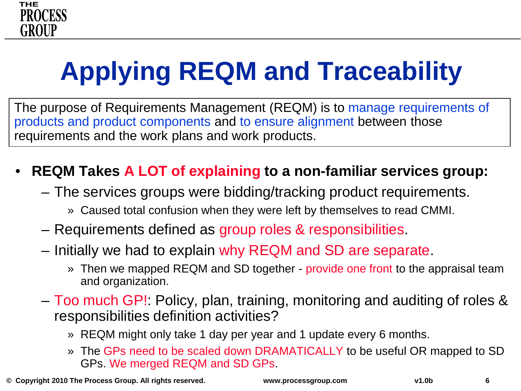

# **Applying REQM and Traceability**

The purpose of Requirements Management (REQM) is to manage requirements of products and product components and to ensure alignment between those requirements and the work plans and work products.

#### • **REQM Takes A LOT of explaining to a non-familiar services group:**

- The services groups were bidding/tracking product requirements.
	- » Caused total confusion when they were left by themselves to read CMMI.
- Requirements defined as group roles & responsibilities.
- Initially we had to explain why REQM and SD are separate.
	- » Then we mapped REQM and SD together provide one front to the appraisal team and organization.
- Too much GP!: Policy, plan, training, monitoring and auditing of roles & responsibilities definition activities?
	- » REQM might only take 1 day per year and 1 update every 6 months.
	- » The GPs need to be scaled down DRAMATICALLY to be useful OR mapped to SD GPs. We merged REQM and SD GPs.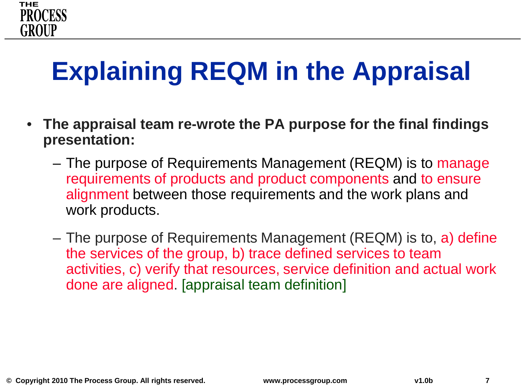## **Explaining REQM in the Appraisal**

- **The appraisal team re-wrote the PA purpose for the final findings presentation:**
	- The purpose of Requirements Management (REQM) is to manage requirements of products and product components and to ensure alignment between those requirements and the work plans and work products.
	- The purpose of Requirements Management (REQM) is to, a) define the services of the group, b) trace defined services to team activities, c) verify that resources, service definition and actual work done are aligned. [appraisal team definition]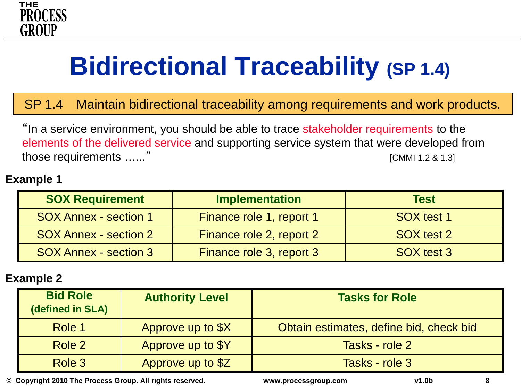

## **Bidirectional Traceability (SP 1.4)**

SP 1.4 Maintain bidirectional traceability among requirements and work products.

"In a service environment, you should be able to trace stakeholder requirements to the elements of the delivered service and supporting service system that were developed from those requirements …..." The contract of the contract of the contract of the contract of the contract of the contract of the contract of the contract of the contract of the contract of the contract of the contract of the c

#### **Example 1**

| <b>SOX Requirement</b>       | <b>Implementation</b>    | <b>Test</b> |
|------------------------------|--------------------------|-------------|
| <b>SOX Annex - section 1</b> | Finance role 1, report 1 | SOX test 1  |
| <b>SOX Annex - section 2</b> | Finance role 2, report 2 | SOX test 2  |
| <b>SOX Annex - section 3</b> | Finance role 3, report 3 | SOX test 3  |

#### **Example 2**

| <b>Bid Role</b><br>(defined in SLA) | <b>Authority Level</b> | <b>Tasks for Role</b>                   |
|-------------------------------------|------------------------|-----------------------------------------|
| Role 1                              | Approve up to \$X      | Obtain estimates, define bid, check bid |
| Role 2                              | Approve up to \$Y      | Tasks - role 2                          |
| Role 3                              | Approve up to \$Z      | Tasks - role 3                          |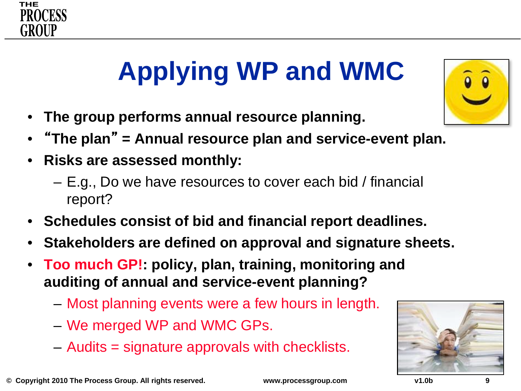

# **Applying WP and WMC**

- **The group performs annual resource planning.**
- "**The plan**" **= Annual resource plan and service-event plan.**
- **Risks are assessed monthly:**
	- E.g., Do we have resources to cover each bid / financial report?
- **Schedules consist of bid and financial report deadlines.**
- **Stakeholders are defined on approval and signature sheets.**
- **Too much GP!: policy, plan, training, monitoring and auditing of annual and service-event planning?**
	- Most planning events were a few hours in length.
	- We merged WP and WMC GPs.
	- Audits = signature approvals with checklists.



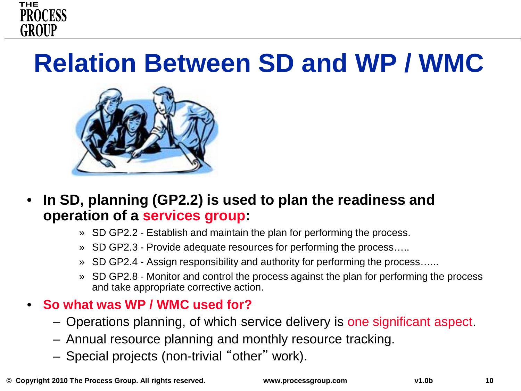

### **Relation Between SD and WP / WMC**



- **In SD, planning (GP2.2) is used to plan the readiness and operation of a services group:**
	- » SD GP2.2 Establish and maintain the plan for performing the process.
	- » SD GP2.3 Provide adequate resources for performing the process…..
	- » SD GP2.4 Assign responsibility and authority for performing the process…...
	- » SD GP2.8 Monitor and control the process against the plan for performing the process and take appropriate corrective action.

#### • **So what was WP / WMC used for?**

- Operations planning, of which service delivery is one significant aspect.
- Annual resource planning and monthly resource tracking.
- Special projects (non-trivial "other" work).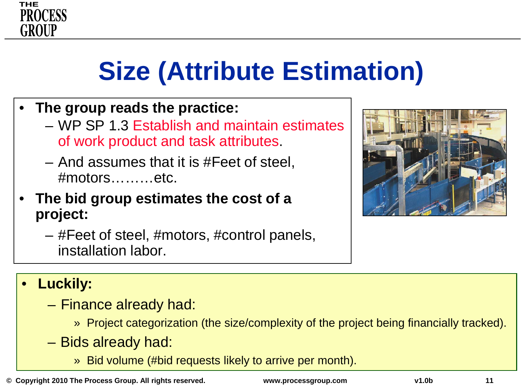

## **Size (Attribute Estimation)**

- **The group reads the practice:**
	- WP SP 1.3 Establish and maintain estimates of work product and task attributes.
	- And assumes that it is #Feet of steel, #motors………etc.
- **The bid group estimates the cost of a project:**
	- #Feet of steel, #motors, #control panels, installation labor.



#### • **Luckily:**

- Finance already had:
	- » Project categorization (the size/complexity of the project being financially tracked).
- Bids already had:
	- » Bid volume (#bid requests likely to arrive per month).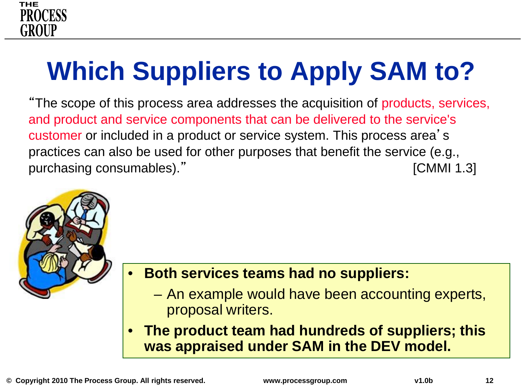

# **Which Suppliers to Apply SAM to?**

"The scope of this process area addresses the acquisition of products, services, and product and service components that can be delivered to the service's customer or included in a product or service system. This process area's practices can also be used for other purposes that benefit the service (e.g., purchasing consumables)." The consumable of the consumulation of the consumulation of the consumulation of the consumulation of the consumulation of the consumulation of the consumulation of the consumulation of the consum



#### • **Both services teams had no suppliers:**

- An example would have been accounting experts, proposal writers.
- **The product team had hundreds of suppliers; this was appraised under SAM in the DEV model.**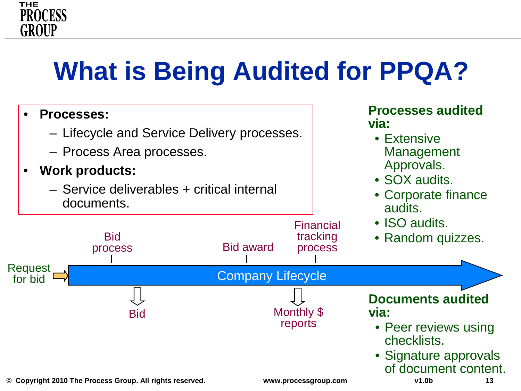## **What is Being Audited for PPQA?**

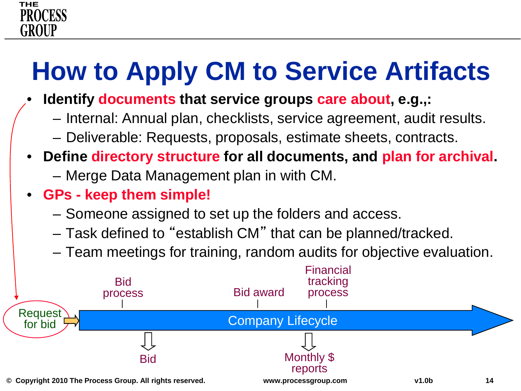# **How to Apply CM to Service Artifacts**

- **Identify documents that service groups care about, e.g.,:**
	- Internal: Annual plan, checklists, service agreement, audit results.
	- Deliverable: Requests, proposals, estimate sheets, contracts.
- **Define directory structure for all documents, and plan for archival.**
	- Merge Data Management plan in with CM.
- **GPs - keep them simple!**
	- Someone assigned to set up the folders and access.
	- Task defined to "establish CM" that can be planned/tracked.
	- Team meetings for training, random audits for objective evaluation.

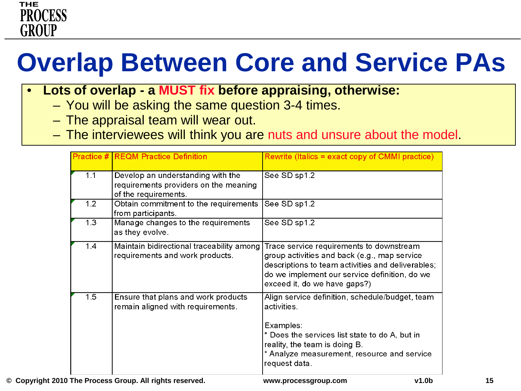## **Overlap Between Core and Service PAs**

- **Lots of overlap - a MUST fix before appraising, otherwise:**
	- You will be asking the same question 3-4 times.
	- The appraisal team will wear out.
	- The interviewees will think you are nuts and unsure about the model.

|     | <b>Practice # REQM Practice Definition</b>                                                         | Rewrite (Italics = exact copy of CMMI practice)                                                                                                                                                                                |
|-----|----------------------------------------------------------------------------------------------------|--------------------------------------------------------------------------------------------------------------------------------------------------------------------------------------------------------------------------------|
| 1.1 | Develop an understanding with the<br>requirements providers on the meaning<br>of the requirements. | See SD sp1.2                                                                                                                                                                                                                   |
| 1.2 | Obtain commitment to the requirements<br>from participants.                                        | See SD sp1.2                                                                                                                                                                                                                   |
| 1.3 | Manage changes to the requirements<br>as they evolve.                                              | See SD sp1.2                                                                                                                                                                                                                   |
| 1.4 | Maintain bidirectional traceability among<br>requirements and work products.                       | Trace service requirements to downstream<br>group activities and back (e.g., map service<br>descriptions to team activities and deliverables;<br>do we implement our service definition, do we<br>exceed it, do we have gaps?) |
| 1.5 | Ensure that plans and work products<br>remain aligned with requirements.                           | Align service definition, schedule/budget, team<br>activities.<br>Examples:<br>* Does the services list state to do A, but in<br>reality, the team is doing B.<br>* Analyze measurement, resource and service<br>request data. |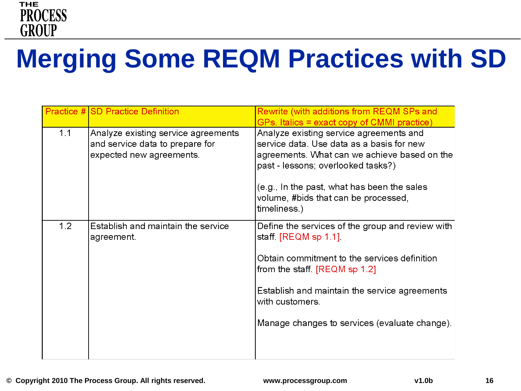

## **Merging Some REQM Practices with SD**

|     | Practice # SD Practice Definition                                                                  | Rewrite (with additions from REQM SPs and<br>GPs. Italics = exact copy of CMMI practice)                                                                                                                                                                                                |
|-----|----------------------------------------------------------------------------------------------------|-----------------------------------------------------------------------------------------------------------------------------------------------------------------------------------------------------------------------------------------------------------------------------------------|
| 1.1 | Analyze existing service agreements<br>and service data to prepare for<br>expected new agreements. | Analyze existing service agreements and<br>service data. Use data as a basis for new<br>agreements. What can we achieve based on the<br>past - lessons; overlooked tasks?)<br>(e.g., In the past, what has been the sales<br>volume, #bids that can be processed,<br>timeliness.)       |
| 1.2 | Establish and maintain the service<br>agreement.                                                   | Define the services of the group and review with<br>staff. [REQM sp 1.1].<br>Obtain commitment to the services definition<br>from the staff. $[{\sf REQM}$ sp 1.2]<br>Establish and maintain the service agreements<br>with customers.<br>Manage changes to services (evaluate change). |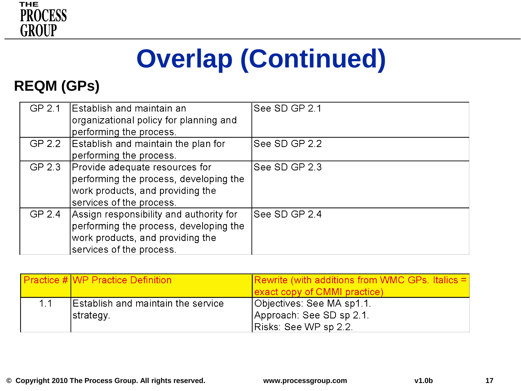

# **Overlap (Continued)**

#### **REQM (GPs)**

| GP 2.1 | Establish and maintain an<br>organizational policy for planning and | See SD GP 2.1 |
|--------|---------------------------------------------------------------------|---------------|
|        | performing the process.                                             |               |
| GP 2.2 | Establish and maintain the plan for                                 | See SD GP 2.2 |
|        | performing the process.                                             |               |
| GP 2.3 | Provide adequate resources for                                      | See SD GP 2.3 |
|        | performing the process, developing the                              |               |
|        | work products, and providing the                                    |               |
|        | services of the process.                                            |               |
| GP 2.4 | Assign responsibility and authority for                             | See SD GP 2.4 |
|        | performing the process, developing the                              |               |
|        | work products, and providing the                                    |               |
|        | services of the process.                                            |               |

|    | <b>Practice #IWP Practice Definition</b>                | Rewrite (with additions from WMC GPs. Italics $=$<br>exact copy of CMMI practice) |
|----|---------------------------------------------------------|-----------------------------------------------------------------------------------|
| 11 | <b>Establish and maintain the service</b><br> strategy. | Objectives: See MA sp1.1.<br>Approach: See SD sp 2.1.<br>Risks: See WP sp 2.2.    |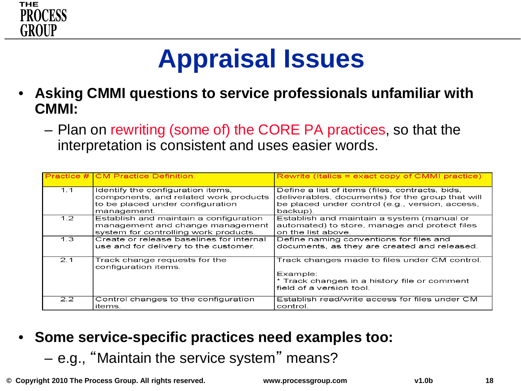

## **Appraisal Issues**

- **Asking CMMI questions to service professionals unfamiliar with CMMI:**
	- Plan on rewriting (some of) the CORE PA practices, so that the interpretation is consistent and uses easier words.

|                  | <b>Practice # CM Practice Definition</b>                                                                                      | $\blacksquare$ Rewrite (Italics = exact copy of CMMI practice)                                                                                                     |
|------------------|-------------------------------------------------------------------------------------------------------------------------------|--------------------------------------------------------------------------------------------------------------------------------------------------------------------|
| 1.1              | Identify the configuration items,<br>components, and related work products<br>to be placed under configuration<br>management. | Define a list of items (files, contracts, bids,<br>deliverables, documents) for the group that will<br>be placed under control (e.g., version, access,<br>backup). |
| 1.2 <sub>1</sub> | Establish and maintain a configuration<br>management and change management<br>system for controlling work products.           | Establish and maintain a system (manual or<br>automated) to store, manage and protect files<br>on the list above.                                                  |
| 1.3              | Create or release baselines for internal<br>use and for delivery to the customer.                                             | Define naming conventions for files and<br>documents, as they are created and released.                                                                            |
| 2.1              | Track change requests for the<br>configuration items.                                                                         | Track changes made to files under CM control.<br>Example:<br>* Track changes in a history file or comment<br>field of a version tool.                              |
| 2.2              | Control changes to the configuration<br>items.                                                                                | Establish read/write access for files under CM<br>control.                                                                                                         |

- **Some service-specific practices need examples too:** 
	- e.g., "Maintain the service system" means?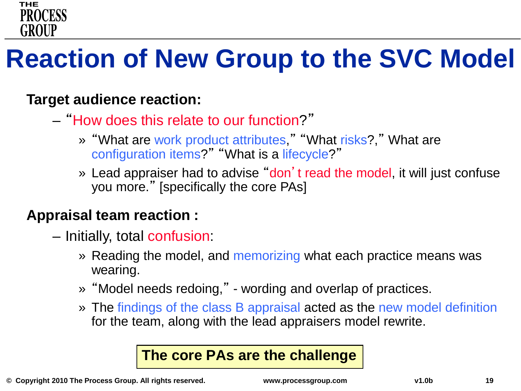

## **Reaction of New Group to the SVC Model**

#### **Target audience reaction:**

- "How does this relate to our function?"
	- » "What are work product attributes," "What risks?," What are configuration items?" "What is a lifecycle?"
	- » Lead appraiser had to advise "don't read the model, it will just confuse you more." [specifically the core PAs]

#### **Appraisal team reaction :**

- Initially, total confusion:
	- » Reading the model, and memorizing what each practice means was wearing.
	- » "Model needs redoing," wording and overlap of practices.
	- » The findings of the class B appraisal acted as the new model definition for the team, along with the lead appraisers model rewrite.

#### **The core PAs are the challenge**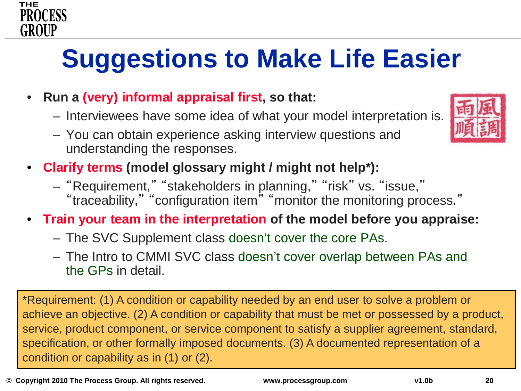## **Suggestions to Make Life Easier**

- **Run a (very) informal appraisal first, so that:**
	- Interviewees have some idea of what your model interpretation is.
	- You can obtain experience asking interview questions and understanding the responses.
- **Clarify terms (model glossary might / might not help\*):** 
	- "Requirement," "stakeholders in planning," "risk" vs. "issue,"
		- "traceability," "configuration item" "monitor the monitoring process."
- **Train your team in the interpretation of the model before you appraise:**
	- The SVC Supplement class doesn't cover the core PAs.
	- The Intro to CMMI SVC class doesn't cover overlap between PAs and the GPs in detail.

\*Requirement: (1) A condition or capability needed by an end user to solve a problem or achieve an objective. (2) A condition or capability that must be met or possessed by a product, service, product component, or service component to satisfy a supplier agreement, standard, specification, or other formally imposed documents. (3) A documented representation of a condition or capability as in (1) or (2).



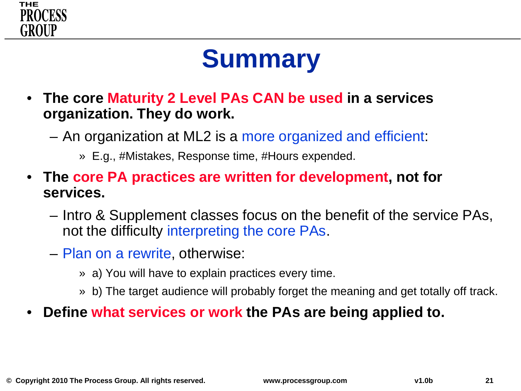

## **Summary**

- **The core Maturity 2 Level PAs CAN be used in a services organization. They do work.**
	- An organization at ML2 is a more organized and efficient:
		- » E.g., #Mistakes, Response time, #Hours expended.
- **The core PA practices are written for development, not for services.**
	- Intro & Supplement classes focus on the benefit of the service PAs, not the difficulty interpreting the core PAs.
	- Plan on a rewrite, otherwise:
		- » a) You will have to explain practices every time.
		- » b) The target audience will probably forget the meaning and get totally off track.
- **Define what services or work the PAs are being applied to.**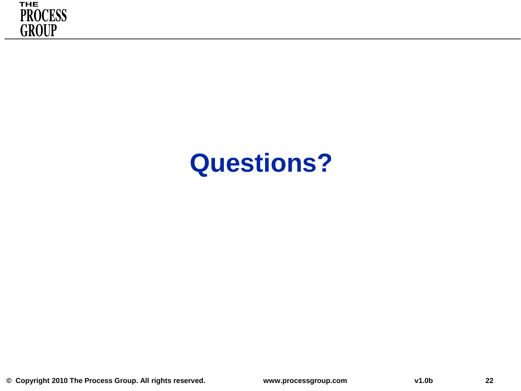

### **Questions?**